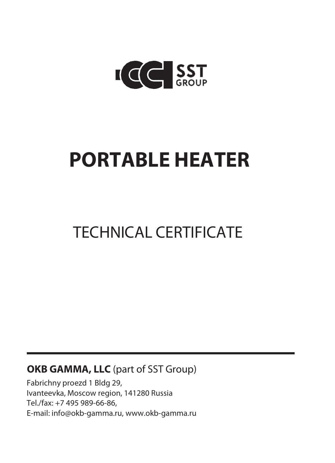

# **PORTABLE HEATER**

## TECHNICAL CERTIFICATE

#### **OKB GAMMA, LLC** (part of SST Group)

Fabrichny proezd 1 Bldg 29, Ivanteevka, Moscow region, 141280 Russia Tel./fax: +7 495 989-66-86, [Е-mail: info@okb-gamma.ru,](mailto:info@okb-gamma.ru) [www.okb-gamma.ru](http://www.okb-gamma.ru/)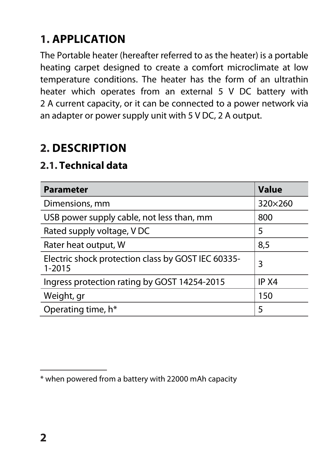## **1. APPLICATION**

The Portable heater (hereafter referred to as the heater) is a portable heating carpet designed to create a comfort microclimate at low temperature conditions. The heater has the form of an ultrathin heater which operates from an external 5 V DC battery with 2 A current capacity, or it can be connected to a power network via an adapter or power supply unit with 5 V DC, 2 A output.

#### **2. DESCRIPTION**

#### **2.1. Technical data**

| <b>Parameter</b>                                                 | <b>Value</b> |
|------------------------------------------------------------------|--------------|
| Dimensions, mm                                                   | 320×260      |
| USB power supply cable, not less than, mm                        | 800          |
| Rated supply voltage, VDC                                        | 5            |
| Rater heat output, W                                             | 8,5          |
| Electric shock protection class by GOST IEC 60335-<br>$1 - 2015$ | 3            |
| Ingress protection rating by GOST 14254-2015                     | IP X4        |
| Weight, gr                                                       | 150          |
| Operating time, h*                                               | 5            |

<sup>\*</sup> when powered from a battery with 22000 mAh capacity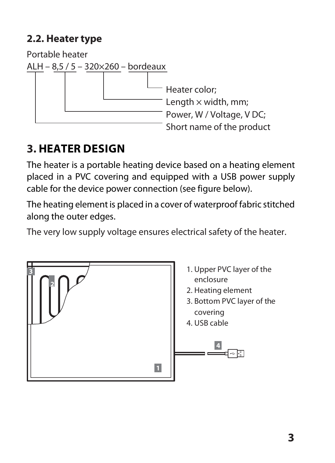#### **2.2. Heater type**

Portable heater ALH – 8,5 / 5 – 320×260 – bordeaux Heater color; Length  $\times$  width, mm; Power, W / Voltage, V DC; Short name of the product

## **3. HEATER DESIGN**

The heater is a portable heating device based on a heating element placed in a PVC covering and equipped with a USB power supply cable for the device power connection (see figure below).

The heating element is placed in a cover of waterproof fabric stitched along the outer edges.

The very low supply voltage ensures electrical safety of the heater.

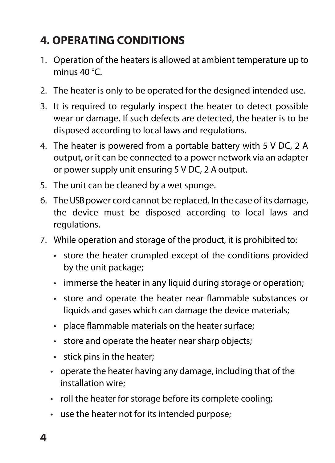### **4. OPERATING CONDITIONS**

- 1. Operation of the heaters is allowed at ambient temperature up to minus 40 °C.
- 2. The heater is only to be operated for the designed intended use.
- 3. It is required to regularly inspect the heater to detect possible wear or damage. If such defects are detected, the heater is to be disposed according to local laws and regulations.
- 4. The heater is powered from a portable battery with 5 V DC, 2 A output, or it can be connected to a power network via an adapter or power supply unit ensuring 5 V DC, 2 A output.
- 5. The unit can be cleaned by a wet sponge.
- 6. TheUSB power cord cannot be replaced. In the case of its damage, the device must be disposed according to local laws and regulations.
- 7. While operation and storage of the product, it is prohibited to:
	- store the heater crumpled except of the conditions provided by the unit package;
	- immerse the heater in any liquid during storage or operation;
	- store and operate the heater near flammable substances or liquids and gases which can damage the device materials;
	- $\cdot$  place flammable materials on the heater surface:
	- store and operate the heater near sharp objects;
	- stick pins in the heater;
	- operate the heater having any damage, including that of the installation wire;
	- roll the heater for storage before its complete cooling;
	- use the heater not for its intended purpose;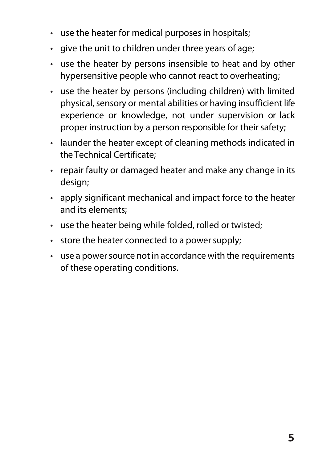- use the heater for medical purposes in hospitals;
- give the unit to children under three years of age;
- use the heater by persons insensible to heat and by other hypersensitive people who cannot react to overheating;
- use the heater by persons (including children) with limited physical, sensory or mental abilities or having insufficient life experience or knowledge, not under supervision or lack proper instruction by a person responsible for their safety;
- launder the heater except of cleaning methods indicated in the Technical Certificate;
- repair faulty or damaged heater and make any change in its design;
- apply significant mechanical and impact force to the heater and its elements;
- use the heater being while folded, rolled ortwisted;
- store the heater connected to a power supply;
- use a power source not in accordance with the requirements of these operating conditions.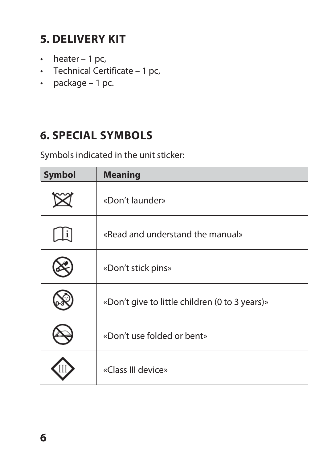## **5. DELIVERY KIT**

- $\cdot$  heater 1 pc,
- Technical Certificate 1 pc,
- package 1 pc.

#### **6. SPECIAL SYMBOLS**

Symbols indicated in the unit sticker:

| <b>Symbol</b> | <b>Meaning</b>                                 |
|---------------|------------------------------------------------|
|               | «Don't launder»                                |
|               | «Read and understand the manual»               |
|               | «Don't stick pins»                             |
|               | «Don't give to little children (0 to 3 years)» |
|               | «Don't use folded or bent»                     |
|               | «Class III device»                             |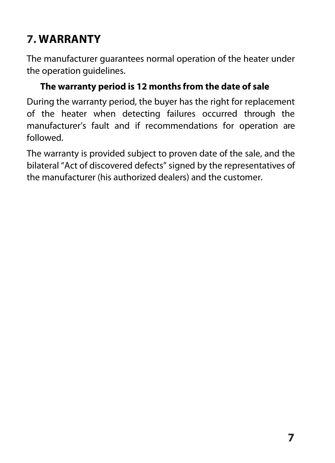## **7. WARRANTY**

The manufacturer guarantees normal operation of the heater under the operation quidelines.

#### **The warranty period is 12 months from the date of sale**

During the warranty period, the buyer has the right for replacement of the heater when detecting failures occurred through the manufacturer's fault and if recommendations for operation are followed.

The warranty is provided subject to proven date of the sale, and the bilateral "Act of discovered defects" signed by the representatives of the manufacturer (his authorized dealers) and the customer.